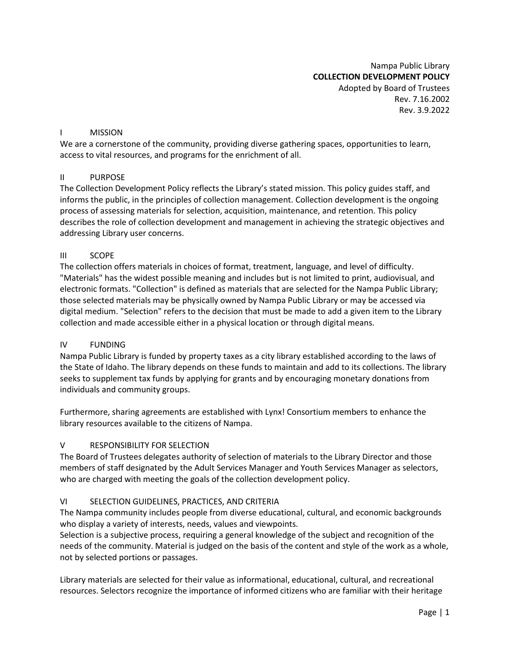Nampa Public Library **COLLECTION DEVELOPMENT POLICY** Adopted by Board of Trustees Rev. 7.16.2002 Rev. 3.9.2022

#### I MISSION

We are a cornerstone of the community, providing diverse gathering spaces, opportunities to learn, access to vital resources, and programs for the enrichment of all.

#### II PURPOSE

The Collection Development Policy reflects the Library's stated mission. This policy guides staff, and informs the public, in the principles of collection management. Collection development is the ongoing process of assessing materials for selection, acquisition, maintenance, and retention. This policy describes the role of collection development and management in achieving the strategic objectives and addressing Library user concerns.

#### III SCOPE

The collection offers materials in choices of format, treatment, language, and level of difficulty. "Materials" has the widest possible meaning and includes but is not limited to print, audiovisual, and electronic formats. "Collection" is defined as materials that are selected for the Nampa Public Library; those selected materials may be physically owned by Nampa Public Library or may be accessed via digital medium. "Selection" refers to the decision that must be made to add a given item to the Library collection and made accessible either in a physical location or through digital means.

## IV FUNDING

Nampa Public Library is funded by property taxes as a city library established according to the laws of the State of Idaho. The library depends on these funds to maintain and add to its collections. The library seeks to supplement tax funds by applying for grants and by encouraging monetary donations from individuals and community groups.

Furthermore, sharing agreements are established with Lynx! Consortium members to enhance the library resources available to the citizens of Nampa.

## V RESPONSIBILITY FOR SELECTION

The Board of Trustees delegates authority of selection of materials to the Library Director and those members of staff designated by the Adult Services Manager and Youth Services Manager as selectors, who are charged with meeting the goals of the collection development policy.

# VI SELECTION GUIDELINES, PRACTICES, AND CRITERIA

The Nampa community includes people from diverse educational, cultural, and economic backgrounds who display a variety of interests, needs, values and viewpoints.

Selection is a subjective process, requiring a general knowledge of the subject and recognition of the needs of the community. Material is judged on the basis of the content and style of the work as a whole, not by selected portions or passages.

Library materials are selected for their value as informational, educational, cultural, and recreational resources. Selectors recognize the importance of informed citizens who are familiar with their heritage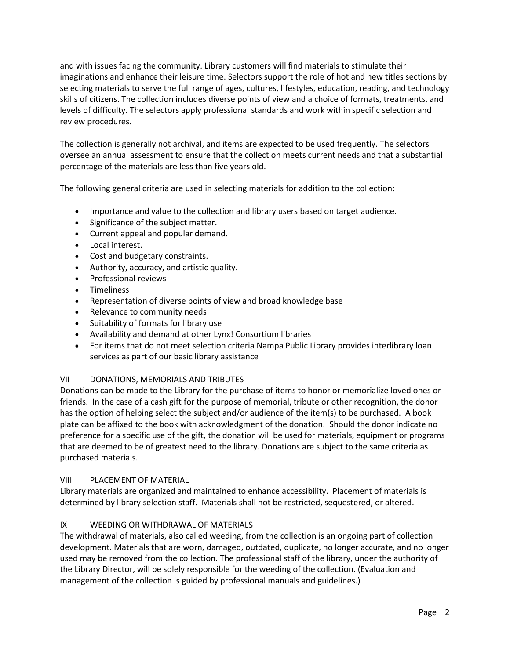and with issues facing the community. Library customers will find materials to stimulate their imaginations and enhance their leisure time. Selectors support the role of hot and new titles sections by selecting materials to serve the full range of ages, cultures, lifestyles, education, reading, and technology skills of citizens. The collection includes diverse points of view and a choice of formats, treatments, and levels of difficulty. The selectors apply professional standards and work within specific selection and review procedures.

The collection is generally not archival, and items are expected to be used frequently. The selectors oversee an annual assessment to ensure that the collection meets current needs and that a substantial percentage of the materials are less than five years old.

The following general criteria are used in selecting materials for addition to the collection:

- Importance and value to the collection and library users based on target audience.
- Significance of the subject matter.
- Current appeal and popular demand.
- Local interest.
- Cost and budgetary constraints.
- Authority, accuracy, and artistic quality.
- Professional reviews
- Timeliness
- Representation of diverse points of view and broad knowledge base
- Relevance to community needs
- Suitability of formats for library use
- Availability and demand at other Lynx! Consortium libraries
- For items that do not meet selection criteria Nampa Public Library provides interlibrary loan services as part of our basic library assistance

## VII DONATIONS, MEMORIALS AND TRIBUTES

Donations can be made to the Library for the purchase of items to honor or memorialize loved ones or friends. In the case of a cash gift for the purpose of memorial, tribute or other recognition, the donor has the option of helping select the subject and/or audience of the item(s) to be purchased. A book plate can be affixed to the book with acknowledgment of the donation. Should the donor indicate no preference for a specific use of the gift, the donation will be used for materials, equipment or programs that are deemed to be of greatest need to the library. Donations are subject to the same criteria as purchased materials.

## VIII PLACEMENT OF MATERIAL

Library materials are organized and maintained to enhance accessibility. Placement of materials is determined by library selection staff. Materials shall not be restricted, sequestered, or altered.

## IX WEEDING OR WITHDRAWAL OF MATERIALS

The withdrawal of materials, also called weeding, from the collection is an ongoing part of collection development. Materials that are worn, damaged, outdated, duplicate, no longer accurate, and no longer used may be removed from the collection. The professional staff of the library, under the authority of the Library Director, will be solely responsible for the weeding of the collection. (Evaluation and management of the collection is guided by professional manuals and guidelines.)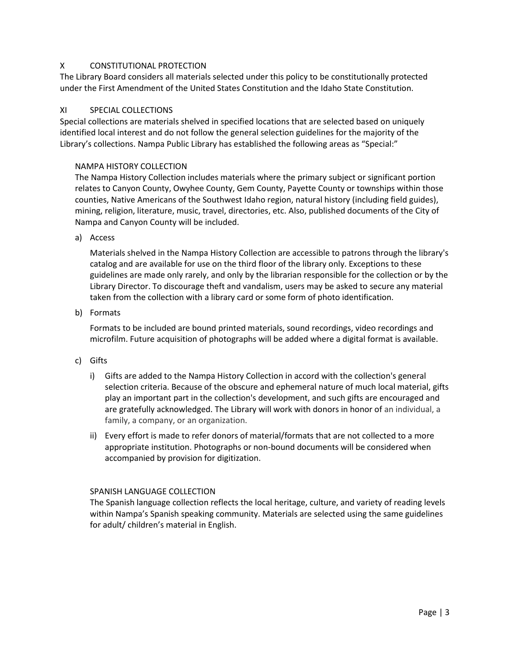# X CONSTITUTIONAL PROTECTION

The Library Board considers all materials selected under this policy to be constitutionally protected under the First Amendment of the United States Constitution and the Idaho State Constitution.

## XI SPECIAL COLLECTIONS

Special collections are materials shelved in specified locations that are selected based on uniquely identified local interest and do not follow the general selection guidelines for the majority of the Library's collections. Nampa Public Library has established the following areas as "Special:"

## NAMPA HISTORY COLLECTION

The Nampa History Collection includes materials where the primary subject or significant portion relates to Canyon County, Owyhee County, Gem County, Payette County or townships within those counties, Native Americans of the Southwest Idaho region, natural history (including field guides), mining, religion, literature, music, travel, directories, etc. Also, published documents of the City of Nampa and Canyon County will be included.

a) Access

Materials shelved in the Nampa History Collection are accessible to patrons through the library's catalog and are available for use on the third floor of the library only. Exceptions to these guidelines are made only rarely, and only by the librarian responsible for the collection or by the Library Director. To discourage theft and vandalism, users may be asked to secure any material taken from the collection with a library card or some form of photo identification.

b) Formats

Formats to be included are bound printed materials, sound recordings, video recordings and microfilm. Future acquisition of photographs will be added where a digital format is available.

- c) Gifts
	- i) Gifts are added to the Nampa History Collection in accord with the collection's general selection criteria. Because of the obscure and ephemeral nature of much local material, gifts play an important part in the collection's development, and such gifts are encouraged and are gratefully acknowledged. The Library will work with donors in honor of an individual, a family, a company, or an organization.
	- ii) Every effort is made to refer donors of material/formats that are not collected to a more appropriate institution. Photographs or non-bound documents will be considered when accompanied by provision for digitization.

## SPANISH LANGUAGE COLLECTION

The Spanish language collection reflects the local heritage, culture, and variety of reading levels within Nampa's Spanish speaking community. Materials are selected using the same guidelines for adult/ children's material in English.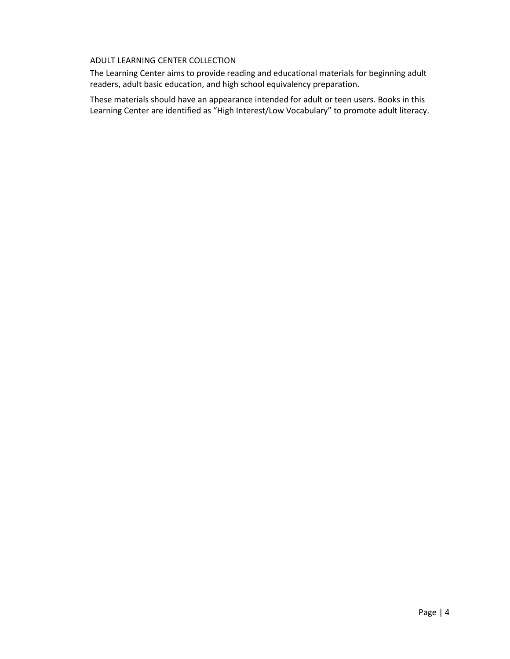# ADULT LEARNING CENTER COLLECTION

The Learning Center aims to provide reading and educational materials for beginning adult readers, adult basic education, and high school equivalency preparation.

These materials should have an appearance intended for adult or teen users. Books in this Learning Center are identified as "High Interest/Low Vocabulary" to promote adult literacy.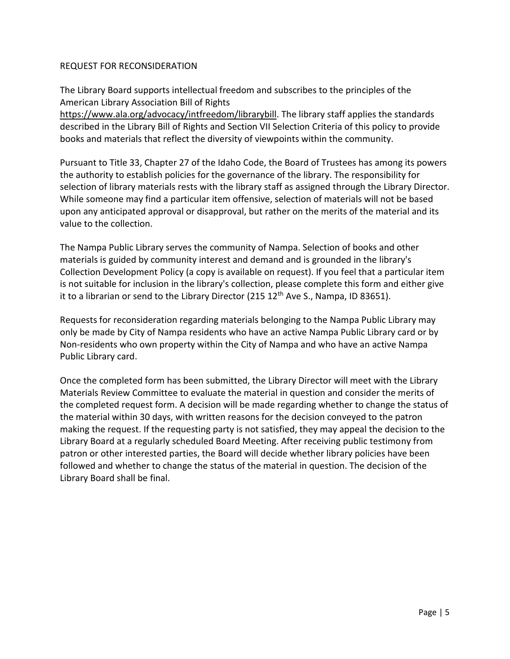# REQUEST FOR RECONSIDERATION

The Library Board supports intellectual freedom and subscribes to the principles of the American Library Association Bill of Rights

[https://www.ala.org/advocacy/intfreedom/librarybill.](https://www.ala.org/advocacy/intfreedom/librarybill) The library staff applies the standards described in the Library Bill of Rights and Section VII Selection Criteria of this policy to provide books and materials that reflect the diversity of viewpoints within the community.

Pursuant to Title 33, Chapter 27 of the Idaho Code, the Board of Trustees has among its powers the authority to establish policies for the governance of the library. The responsibility for selection of library materials rests with the library staff as assigned through the Library Director. While someone may find a particular item offensive, selection of materials will not be based upon any anticipated approval or disapproval, but rather on the merits of the material and its value to the collection.

The Nampa Public Library serves the community of Nampa. Selection of books and other materials is guided by community interest and demand and is grounded in the library's Collection Development Policy (a copy is available on request). If you feel that a particular item is not suitable for inclusion in the library's collection, please complete this form and either give it to a librarian or send to the Library Director (215  $12<sup>th</sup>$  Ave S., Nampa, ID 83651).

Requests for reconsideration regarding materials belonging to the Nampa Public Library may only be made by City of Nampa residents who have an active Nampa Public Library card or by Non-residents who own property within the City of Nampa and who have an active Nampa Public Library card.

Once the completed form has been submitted, the Library Director will meet with the Library Materials Review Committee to evaluate the material in question and consider the merits of the completed request form. A decision will be made regarding whether to change the status of the material within 30 days, with written reasons for the decision conveyed to the patron making the request. If the requesting party is not satisfied, they may appeal the decision to the Library Board at a regularly scheduled Board Meeting. After receiving public testimony from patron or other interested parties, the Board will decide whether library policies have been followed and whether to change the status of the material in question. The decision of the Library Board shall be final.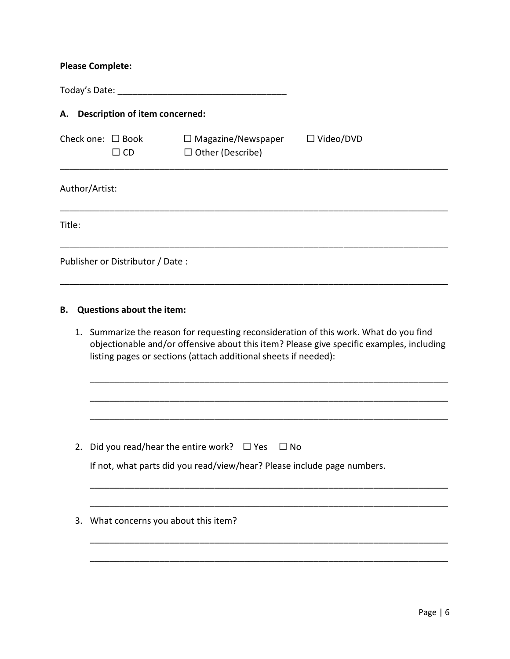## **Please Complete:**

Today's Date: \_\_\_\_\_\_\_\_\_\_\_\_\_\_\_\_\_\_\_\_\_\_\_\_\_\_\_\_\_\_\_\_\_\_

# **A. Description of item concerned:**

| Check one: $\Box$ Book | $\Box$ CD | $\Box$ Magazine/Newspaper<br>$\Box$ Other (Describe) | $\Box$ Video/DVD |
|------------------------|-----------|------------------------------------------------------|------------------|
|                        |           |                                                      |                  |

\_\_\_\_\_\_\_\_\_\_\_\_\_\_\_\_\_\_\_\_\_\_\_\_\_\_\_\_\_\_\_\_\_\_\_\_\_\_\_\_\_\_\_\_\_\_\_\_\_\_\_\_\_\_\_\_\_\_\_\_\_\_\_\_\_\_\_\_\_\_\_\_\_\_\_\_\_\_

\_\_\_\_\_\_\_\_\_\_\_\_\_\_\_\_\_\_\_\_\_\_\_\_\_\_\_\_\_\_\_\_\_\_\_\_\_\_\_\_\_\_\_\_\_\_\_\_\_\_\_\_\_\_\_\_\_\_\_\_\_\_\_\_\_\_\_\_\_\_\_\_\_\_\_\_\_\_

\_\_\_\_\_\_\_\_\_\_\_\_\_\_\_\_\_\_\_\_\_\_\_\_\_\_\_\_\_\_\_\_\_\_\_\_\_\_\_\_\_\_\_\_\_\_\_\_\_\_\_\_\_\_\_\_\_\_\_\_\_\_\_\_\_\_\_\_\_\_\_\_\_\_\_\_\_\_

### Author/Artist:

Title:

Publisher or Distributor / Date :

#### **B. Questions about the item:**

1. Summarize the reason for requesting reconsideration of this work. What do you find objectionable and/or offensive about this item? Please give specific examples, including listing pages or sections (attach additional sheets if needed):

\_\_\_\_\_\_\_\_\_\_\_\_\_\_\_\_\_\_\_\_\_\_\_\_\_\_\_\_\_\_\_\_\_\_\_\_\_\_\_\_\_\_\_\_\_\_\_\_\_\_\_\_\_\_\_\_\_\_\_\_\_\_\_\_\_\_\_\_\_\_\_\_

\_\_\_\_\_\_\_\_\_\_\_\_\_\_\_\_\_\_\_\_\_\_\_\_\_\_\_\_\_\_\_\_\_\_\_\_\_\_\_\_\_\_\_\_\_\_\_\_\_\_\_\_\_\_\_\_\_\_\_\_\_\_\_\_\_\_\_\_\_\_\_\_

\_\_\_\_\_\_\_\_\_\_\_\_\_\_\_\_\_\_\_\_\_\_\_\_\_\_\_\_\_\_\_\_\_\_\_\_\_\_\_\_\_\_\_\_\_\_\_\_\_\_\_\_\_\_\_\_\_\_\_\_\_\_\_\_\_\_\_\_\_\_\_\_

\_\_\_\_\_\_\_\_\_\_\_\_\_\_\_\_\_\_\_\_\_\_\_\_\_\_\_\_\_\_\_\_\_\_\_\_\_\_\_\_\_\_\_\_\_\_\_\_\_\_\_\_\_\_\_\_\_\_\_\_\_\_\_\_\_\_\_\_\_\_\_\_

\_\_\_\_\_\_\_\_\_\_\_\_\_\_\_\_\_\_\_\_\_\_\_\_\_\_\_\_\_\_\_\_\_\_\_\_\_\_\_\_\_\_\_\_\_\_\_\_\_\_\_\_\_\_\_\_\_\_\_\_\_\_\_\_\_\_\_\_\_\_\_\_

\_\_\_\_\_\_\_\_\_\_\_\_\_\_\_\_\_\_\_\_\_\_\_\_\_\_\_\_\_\_\_\_\_\_\_\_\_\_\_\_\_\_\_\_\_\_\_\_\_\_\_\_\_\_\_\_\_\_\_\_\_\_\_\_\_\_\_\_\_\_\_\_

\_\_\_\_\_\_\_\_\_\_\_\_\_\_\_\_\_\_\_\_\_\_\_\_\_\_\_\_\_\_\_\_\_\_\_\_\_\_\_\_\_\_\_\_\_\_\_\_\_\_\_\_\_\_\_\_\_\_\_\_\_\_\_\_\_\_\_\_\_\_\_\_

2. Did you read/hear the entire work?  $\Box$  Yes  $\Box$  No

|  |  | If not, what parts did you read/view/hear? Please include page numbers. |
|--|--|-------------------------------------------------------------------------|
|--|--|-------------------------------------------------------------------------|

|  |  | 3. What concerns you about this item? |
|--|--|---------------------------------------|
|--|--|---------------------------------------|